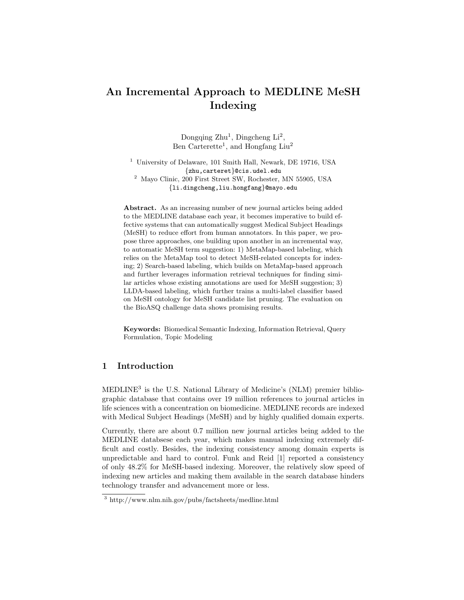# **An Incremental Approach to MEDLINE MeSH Indexing**

Dongqing  $Zhu^1$ , Dingcheng  $Li^2$ , Ben Carterette<sup>1</sup>, and Hongfang Liu<sup>2</sup>

<sup>1</sup> University of Delaware, 101 Smith Hall, Newark, DE 19716, USA {zhu,carteret}@cis.udel.edu <sup>2</sup> Mayo Clinic, 200 First Street SW, Rochester, MN 55905, USA {li.dingcheng,liu.hongfang}@mayo.edu

**Abstract.** As an increasing number of new journal articles being added to the MEDLINE database each year, it becomes imperative to build effective systems that can automatically suggest Medical Subject Headings (MeSH) to reduce effort from human annotators. In this paper, we propose three approaches, one building upon another in an incremental way, to automatic MeSH term suggestion: 1) MetaMap-based labeling, which relies on the MetaMap tool to detect MeSH-related concepts for indexing; 2) Search-based labeling, which builds on MetaMap-based approach and further leverages information retrieval techniques for finding similar articles whose existing annotations are used for MeSH suggestion; 3) LLDA-based labeling, which further trains a multi-label classifier based on MeSH ontology for MeSH candidate list pruning. The evaluation on the BioASQ challenge data shows promising results.

**Keywords:** Biomedical Semantic Indexing, Information Retrieval, Query Formulation, Topic Modeling

## **1 Introduction**

 $\text{MEDLINE}^3$  is the U.S. National Library of Medicine's (NLM) premier bibliographic database that contains over 19 million references to journal articles in life sciences with a concentration on biomedicine. MEDLINE records are indexed with Medical Subject Headings (MeSH) and by highly qualified domain experts.

Currently, there are about 0.7 million new journal articles being added to the MEDLINE databsese each year, which makes manual indexing extremely difficult and costly. Besides, the indexing consistency among domain experts is unpredictable and hard to control. Funk and Reid [1] reported a consistency of only 48.2% for MeSH-based indexing. Moreover, the relatively slow speed of indexing new articles and making them available in the search database hinders technology transfer and advancement more or less.

<sup>3</sup> http://www.nlm.nih.gov/pubs/factsheets/medline.html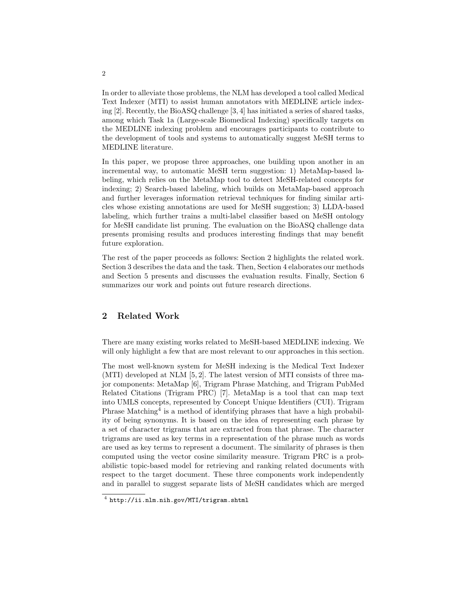In order to alleviate those problems, the NLM has developed a tool called Medical Text Indexer (MTI) to assist human annotators with MEDLINE article indexing [2]. Recently, the BioASQ challenge [3, 4] has initiated a series of shared tasks, among which Task 1a (Large-scale Biomedical Indexing) specifically targets on the MEDLINE indexing problem and encourages participants to contribute to the development of tools and systems to automatically suggest MeSH terms to MEDLINE literature.

In this paper, we propose three approaches, one building upon another in an incremental way, to automatic MeSH term suggestion: 1) MetaMap-based labeling, which relies on the MetaMap tool to detect MeSH-related concepts for indexing; 2) Search-based labeling, which builds on MetaMap-based approach and further leverages information retrieval techniques for finding similar articles whose existing annotations are used for MeSH suggestion; 3) LLDA-based labeling, which further trains a multi-label classifier based on MeSH ontology for MeSH candidate list pruning. The evaluation on the BioASQ challenge data presents promising results and produces interesting findings that may benefit future exploration.

The rest of the paper proceeds as follows: Section 2 highlights the related work. Section 3 describes the data and the task. Then, Section 4 elaborates our methods and Section 5 presents and discusses the evaluation results. Finally, Section 6 summarizes our work and points out future research directions.

# **2 Related Work**

There are many existing works related to MeSH-based MEDLINE indexing. We will only highlight a few that are most relevant to our approaches in this section.

The most well-known system for MeSH indexing is the Medical Text Indexer (MTI) developed at NLM [5, 2]. The latest version of MTI consists of three major components: MetaMap [6], Trigram Phrase Matching, and Trigram PubMed Related Citations (Trigram PRC) [7]. MetaMap is a tool that can map text into UMLS concepts, represented by Concept Unique Identifiers (CUI). Trigram Phrase Matching<sup>4</sup> is a method of identifying phrases that have a high probability of being synonyms. It is based on the idea of representing each phrase by a set of character trigrams that are extracted from that phrase. The character trigrams are used as key terms in a representation of the phrase much as words are used as key terms to represent a document. The similarity of phrases is then computed using the vector cosine similarity measure. Trigram PRC is a probabilistic topic-based model for retrieving and ranking related documents with respect to the target document. These three components work independently and in parallel to suggest separate lists of MeSH candidates which are merged

2

<sup>4</sup> http://ii.nlm.nih.gov/MTI/trigram.shtml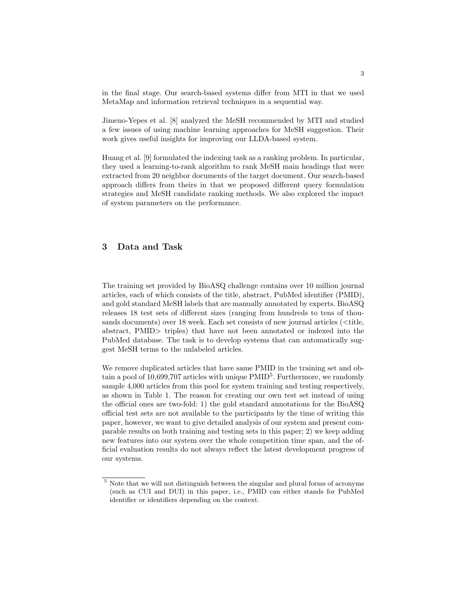in the final stage. Our search-based systems differ from MTI in that we used MetaMap and information retrieval techniques in a sequential way.

Jimeno-Yepes et al. [8] analyzed the MeSH recommended by MTI and studied a few issues of using machine learning approaches for MeSH suggestion. Their work gives useful insights for improving our LLDA-based system.

Huang et al. [9] formulated the indexing task as a ranking problem. In particular, they used a learning-to-rank algorithm to rank MeSH main headings that were extracted from 20 neighbor documents of the target document. Our search-based approach differs from theirs in that we proposed different query formulation strategies and MeSH candidate ranking methods. We also explored the impact of system parameters on the performance.

## **3 Data and Task**

The training set provided by BioASQ challenge contains over 10 million journal articles, each of which consists of the title, abstract, PubMed identifier (PMID), and gold standard MeSH labels that are manually annotated by experts. BioASQ releases 18 test sets of different sizes (ranging from hundreds to tens of thousands documents) over 18 week. Each set consists of new journal articles (<title, abstract, PMID> triples) that have not been annotated or indexed into the PubMed database. The task is to develop systems that can automatically suggest MeSH terms to the unlabeled articles.

We remove duplicated articles that have same PMID in the training set and obtain a pool of 10,699,707 articles with unique  $\rm{PMD}^5$ . Furthermore, we randomly sample 4,000 articles from this pool for system training and testing respectively, as shown in Table 1. The reason for creating our own test set instead of using the official ones are two-fold: 1) the gold standard annotations for the BioASQ official test sets are not available to the participants by the time of writing this paper, however, we want to give detailed analysis of our system and present comparable results on both training and testing sets in this paper; 2) we keep adding new features into our system over the whole competition time span, and the official evaluation results do not always reflect the latest development progress of our systems.

<sup>&</sup>lt;sup>5</sup> Note that we will not distinguish between the singular and plural forms of acronyms (such as CUI and DUI) in this paper, i.e., PMID can either stands for PubMed identifier or identifiers depending on the context.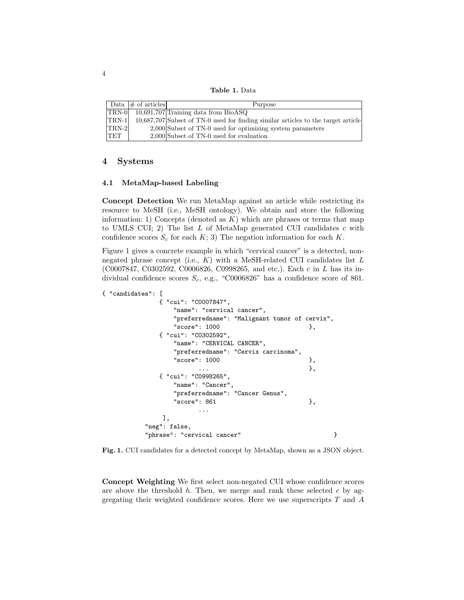**Table 1.** Data

|            | Data $\#$ of articles | Purpose                                                                           |
|------------|-----------------------|-----------------------------------------------------------------------------------|
| $ TRN-0 $  |                       | $10,691,707$ Training data from BioASQ                                            |
| $TRN-1$    |                       | 10,687,707 Subset of TN-0 used for finding similar articles to the target article |
| $TRN-2$    |                       | $2,000$ Subset of TN-0 used for optimizing system parameters                      |
| <b>TET</b> |                       | $2,000$ Subset of TN-0 used for evaluation                                        |

## **4 Systems**

### **4.1 MetaMap-based Labeling**

**Concept Detection** We run MetaMap against an article while restricting its resource to MeSH (i.e., MeSH ontology). We obtain and store the following information: 1) Concepts (denoted as  $K$ ) which are phrases or terms that map to UMLS CUI; 2) The list  $L$  of MetaMap generated CUI candidates  $c$  with confidence scores  $S_c$  for each  $K$ ; 3) The negation information for each  $K$ .

Figure 1 gives a concrete example in which "cervical cancer" is a detected, nonnegated phrase concept (i.e.,  $K$ ) with a MeSH-related CUI candidates list  $L$ (C0007847, C0302592, C0006826, C0998265, and etc.). Each c in L has its individual confidence scores  $S_c$ , e.g., "C0006826" has a confidence score of 861.

```
{ "candidates": [
            { "cui": "C0007847",
               "name": "cervical cancer",
               "preferredname": "Malignant tumor of cervix",
               "score": 1000 },
            { "cui": "C0302592",
               "name": "CERVICAL CANCER",
               "preferredname": "Cervix carcinoma",
               "score": 1000 },
                     \cdots },
            { "cui": "C0998265",
               "name": "Cancer",
               "preferredname": "Cancer Genus",
               "score": 861  },
                     ...
             ],
         "neg": false,
         "phrase": "cervical cancer" }
```
**Fig. 1.** CUI candidates for a detected concept by MetaMap, shown as a JSON object.

**Concept Weighting** We first select non-negated CUI whose confidence scores are above the threshold  $h$ . Then, we merge and rank these selected  $c$  by aggregating their weighted confidence scores. Here we use superscripts  $T$  and  $A$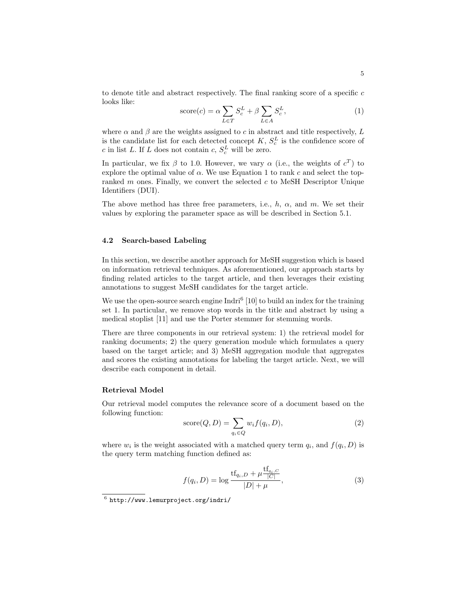to denote title and abstract respectively. The final ranking score of a specific  $c$ looks like:

$$
score(c) = \alpha \sum_{L \in T} S_c^L + \beta \sum_{L \in A} S_c^L,
$$
\n(1)

where  $\alpha$  and  $\beta$  are the weights assigned to c in abstract and title respectively, L is the candidate list for each detected concept  $K, S_c^L$  is the confidence score of c in list L. If L does not contain c,  $S_c^L$  will be zero.

In particular, we fix  $\beta$  to 1.0. However, we vary  $\alpha$  (i.e., the weights of  $c^T$ ) to explore the optimal value of  $\alpha$ . We use Equation 1 to rank c and select the topranked m ones. Finally, we convert the selected c to MeSH Descriptor Unique Identifiers (DUI).

The above method has three free parameters, i.e.,  $h$ ,  $\alpha$ , and  $m$ . We set their values by exploring the parameter space as will be described in Section 5.1.

#### **4.2 Search-based Labeling**

In this section, we describe another approach for MeSH suggestion which is based on information retrieval techniques. As aforementioned, our approach starts by finding related articles to the target article, and then leverages their existing annotations to suggest MeSH candidates for the target article.

We use the open-source search engine  $\text{Indri}^6$  [10] to build an index for the training set 1. In particular, we remove stop words in the title and abstract by using a medical stoplist [11] and use the Porter stemmer for stemming words.

There are three components in our retrieval system: 1) the retrieval model for ranking documents; 2) the query generation module which formulates a query based on the target article; and 3) MeSH aggregation module that aggregates and scores the existing annotations for labeling the target article. Next, we will describe each component in detail.

#### **Retrieval Model**

Our retrieval model computes the relevance score of a document based on the following function:

$$
score(Q, D) = \sum_{q_i \in Q} w_i f(q_i, D),
$$
\n(2)

where  $w_i$  is the weight associated with a matched query term  $q_i$ , and  $f(q_i, D)$  is the query term matching function defined as:

$$
f(q_i, D) = \log \frac{\text{tf}_{q_i, D} + \mu \frac{\text{tf}_{q_i, C}}{|C|}}{|D| + \mu},
$$
\n(3)

 $6$  http://www.lemurproject.org/indri/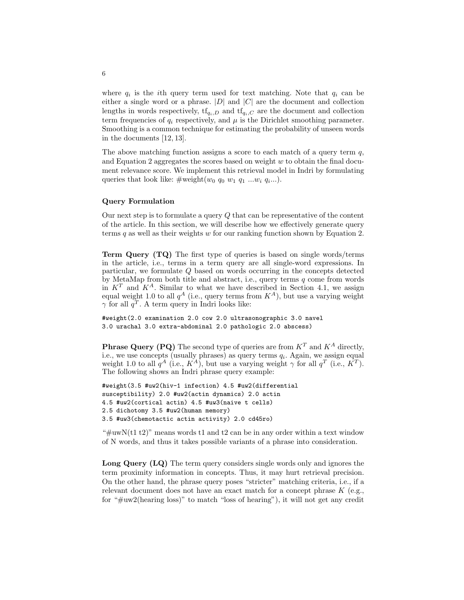where  $q_i$  is the *i*th query term used for text matching. Note that  $q_i$  can be either a single word or a phrase.  $|D|$  and  $|C|$  are the document and collection lengths in words respectively,  $\text{tf}_{q_i,D}$  and  $\text{tf}_{q_i,C}$  are the document and collection term frequencies of  $q_i$  respectively, and  $\mu$  is the Dirichlet smoothing parameter. Smoothing is a common technique for estimating the probability of unseen words in the documents [12, 13].

The above matching function assigns a score to each match of a query term  $q$ , and Equation 2 aggregates the scores based on weight  $w$  to obtain the final document relevance score. We implement this retrieval model in Indri by formulating queries that look like:  $\#\text{weight}(w_0 q_0 w_1 q_1 ... w_i q_i...).$ 

#### **Query Formulation**

Our next step is to formulate a query Q that can be representative of the content of the article. In this section, we will describe how we effectively generate query terms  $q$  as well as their weights  $w$  for our ranking function shown by Equation 2.

**Term Query (TQ)** The first type of queries is based on single words/terms in the article, i.e., terms in a term query are all single-word expressions. In particular, we formulate Q based on words occurring in the concepts detected by MetaMap from both title and abstract, i.e., query terms  $q$  come from words in  $K^T$  and  $K^A$ . Similar to what we have described in Section 4.1, we assign equal weight 1.0 to all  $q^A$  (i.e., query terms from  $K^A$ ), but use a varying weight  $\gamma$  for all  $q^T$ . A term query in Indri looks like:

#weight(2.0 examination 2.0 cow 2.0 ultrasonographic 3.0 navel 3.0 urachal 3.0 extra-abdominal 2.0 pathologic 2.0 abscess)

**Phrase Query (PQ)** The second type of queries are from  $K^T$  and  $K^A$  directly, i.e., we use concepts (usually phrases) as query terms  $q_i$ . Again, we assign equal weight 1.0 to all  $q^A$  (i.e.,  $K^A$ ), but use a varying weight  $\gamma$  for all  $q^T$  (i.e.,  $K^T$ ). The following shows an Indri phrase query example:

```
#weight(3.5 #uw2(hiv-1 infection) 4.5 #uw2(differential
susceptibility) 2.0 #uw2(actin dynamics) 2.0 actin
4.5 #uw2(cortical actin) 4.5 #uw3(naive t cells)
2.5 dichotomy 3.5 #uw2(human memory)
3.5 #uw3(chemotactic actin activity) 2.0 cd45ro)
```
" $\#uwN(t1 t2)$ " means words t1 and t2 can be in any order within a text window of N words, and thus it takes possible variants of a phrase into consideration.

**Long Query (LQ)** The term query considers single words only and ignores the term proximity information in concepts. Thus, it may hurt retrieval precision. On the other hand, the phrase query poses "stricter" matching criteria, i.e., if a relevant document does not have an exact match for a concept phrase  $K$  (e.g., for "#uw2(hearing loss)" to match "loss of hearing"), it will not get any credit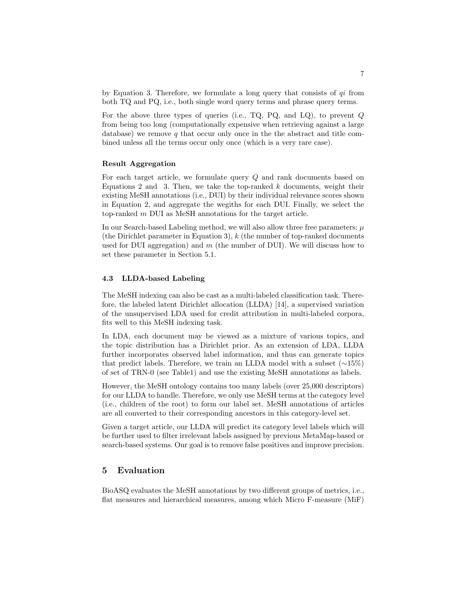by Equation 3. Therefore, we formulate a long query that consists of  $qi$  from both TQ and PQ, i.e., both single word query terms and phrase query terms.

For the above three types of queries (i.e., TQ, PQ, and LQ), to prevent  $Q$ from being too long (computationally expensive when retrieving against a large database) we remove  $q$  that occur only once in the the abstract and title combined unless all the terms occur only once (which is a very rare case).

#### **Result Aggregation**

For each target article, we formulate query Q and rank documents based on Equations 2 and 3. Then, we take the top-ranked  $k$  documents, weight their existing MeSH annotations (i.e., DUI) by their individual relevance scores shown in Equation 2, and aggregate the wegiths for each DUI. Finally, we select the top-ranked m DUI as MeSH annotations for the target article.

In our Search-based Labeling method, we will also allow three free parameters:  $\mu$ (the Dirichlet parameter in Equation 3),  $k$  (the number of top-ranked documents used for DUI aggregation) and  $m$  (the number of DUI). We will discuss how to set these parameter in Section 5.1.

#### **4.3 LLDA-based Labeling**

The MeSH indexing can also be cast as a multi-labeled classification task. Therefore, the labeled latent Dirichlet allocation (LLDA) [14], a supervised variation of the unsupervised LDA used for credit attribution in multi-labeled corpora, fits well to this MeSH indexing task.

In LDA, each document may be viewed as a mixture of various topics, and the topic distribution has a Dirichlet prior. As an extension of LDA, LLDA further incorporates observed label information, and thus can generate topics that predict labels. Therefore, we train an LLDA model with a subset (∼15%) of set of TRN-0 (see Table1) and use the existing MeSH annotations as labels.

However, the MeSH ontology contains too many labels (over 25,000 descriptors) for our LLDA to handle. Therefore, we only use MeSH terms at the category level (i.e., children of the root) to form our label set. MeSH annotations of articles are all converted to their corresponding ancestors in this category-level set.

Given a target article, our LLDA will predict its category level labels which will be further used to filter irrelevant labels assigned by previous MetaMap-based or search-based systems. Our goal is to remove false positives and improve precision.

## **5 Evaluation**

BioASQ evaluates the MeSH annotations by two different groups of metrics, i.e., flat measures and hierarchical measures, among which Micro F-measure (MiF)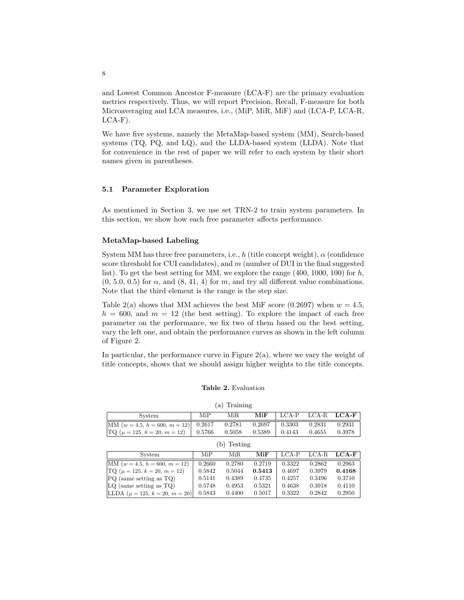and Lowest Common Ancestor F-measure (LCA-F) are the primary evaluation metrics respectively. Thus, we will report Precision, Recall, F-measure for both Microaveraging and LCA measures, i.e., (MiP, MiR, MiF) and (LCA-P, LCA-R,  $LCA-F$ ).

We have five systems, namely the MetaMap-based system (MM), Search-based systems (TQ, PQ, and LQ), and the LLDA-based system (LLDA). Note that for convenience in the rest of paper we will refer to each system by their short names given in parentheses.

#### **5.1 Parameter Exploration**

As mentioned in Section 3, we use set TRN-2 to train system parameters. In this section, we show how each free parameter affects performance.

#### **MetaMap-based Labeling**

System MM has three free parameters, i.e., h (title concept weight),  $\alpha$  (confidence score threshold for CUI candidates), and  $m$  (number of DUI in the final suggested list). To get the best setting for MM, we explore the range  $(400, 1000, 100)$  for h,  $(0, 5.0, 0.5)$  for  $\alpha$ , and  $(8, 41, 4)$  for m, and try all different value combinations. Note that the third element is the range is the step size.

Table 2(a) shows that MM achieves the best MiF score (0.2697) when  $w = 4.5$ ,  $h = 600$ , and  $m = 12$  (the best setting). To explore the impact of each free parameter on the performance, we fix two of them based on the best setting, vary the left one, and obtain the performance curves as shown in the left column of Figure 2.

In particular, the performance curve in Figure 2(a), where we vary the weight of title concepts, shows that we should assign higher weights to the title concepts.

#### **Table 2.** Evaluation

| (a) Training                                    |      |        |          |                           |        |        |  |  |  |  |  |
|-------------------------------------------------|------|--------|----------|---------------------------|--------|--------|--|--|--|--|--|
| System                                          | MiP. | MiR.   | MiF      | $\vert$ LCA-P LCA-R LCA-F |        |        |  |  |  |  |  |
| $ \text{MM} (w = 4.5, h = 600, m = 12)  0.2617$ |      | 0.2781 | $0.2697$ | 0.3303                    | 0.2831 | 0.2931 |  |  |  |  |  |
| $\text{TQ}(\mu = 125, k = 20, m = 12)$ 0.5766   |      | 0.5058 | 0.5389   | 0.4143                    | 0.4655 | 0.3978 |  |  |  |  |  |

| (b) Testing                                 |        |        |        |        |                |        |  |  |  |  |
|---------------------------------------------|--------|--------|--------|--------|----------------|--------|--|--|--|--|
| System                                      | MiP    | MiR.   | MiF    | LCA-P  | $_{\rm LCA-R}$ | LCA-F  |  |  |  |  |
| $ MM (w = 4.5, h = 600, m = 12)$            | 0.2660 | 0.2780 | 0.2719 | 0.3322 | 0.2862         | 0.2963 |  |  |  |  |
| $\text{TQ}$ ( $\mu = 125, k = 20, m = 12$ ) | 0.5842 | 0.5044 | 0.5413 | 0.4697 | 0.3979         | 0.4168 |  |  |  |  |
| $PQ$ (same setting as $TQ$ )                | 0.5141 | 0.4389 | 0.4735 | 0.4257 | 0.3496         | 0.3710 |  |  |  |  |
| $ LQ $ (same setting as TQ)                 | 0.5748 | 0.4953 | 0.5321 | 0.4638 | 0.3918         | 0.4110 |  |  |  |  |
| LLDA ( $\mu = 125, k = 20, m = 20$ )        | 0.5843 | 0.4400 | 0.5017 | 0.3322 | 0.2842         | 0.2950 |  |  |  |  |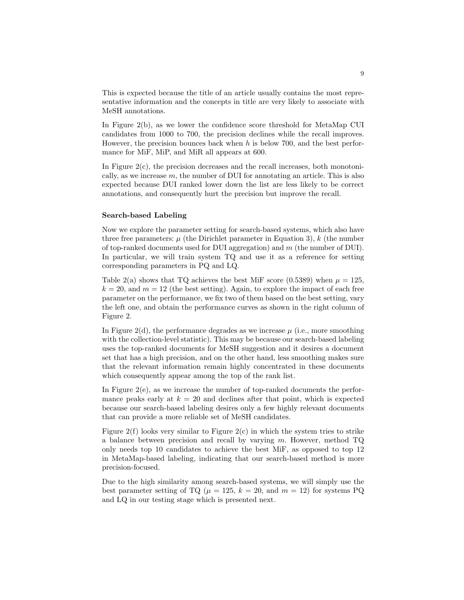This is expected because the title of an article usually contains the most representative information and the concepts in title are very likely to associate with MeSH annotations.

In Figure 2(b), as we lower the confidence score threshold for MetaMap CUI candidates from 1000 to 700, the precision declines while the recall improves. However, the precision bounces back when h is below 700, and the best performance for MiF, MiP, and MiR all appears at 600.

In Figure  $2(c)$ , the precision decreases and the recall increases, both monotonically, as we increase  $m$ , the number of DUI for annotating an article. This is also expected because DUI ranked lower down the list are less likely to be correct annotations, and consequently hurt the precision but improve the recall.

#### **Search-based Labeling**

Now we explore the parameter setting for search-based systems, which also have three free parameters:  $\mu$  (the Dirichlet parameter in Equation 3), k (the number of top-ranked documents used for DUI aggregation) and  $m$  (the number of DUI). In particular, we will train system TQ and use it as a reference for setting corresponding parameters in PQ and LQ.

Table 2(a) shows that TQ achieves the best MiF score (0.5389) when  $\mu = 125$ ,  $k = 20$ , and  $m = 12$  (the best setting). Again, to explore the impact of each free parameter on the performance, we fix two of them based on the best setting, vary the left one, and obtain the performance curves as shown in the right column of Figure 2.

In Figure 2(d), the performance degrades as we increase  $\mu$  (i.e., more smoothing with the collection-level statistic). This may be because our search-based labeling uses the top-ranked documents for MeSH suggestion and it desires a document set that has a high precision, and on the other hand, less smoothing makes sure that the relevant information remain highly concentrated in these documents which consequently appear among the top of the rank list.

In Figure 2(e), as we increase the number of top-ranked documents the performance peaks early at  $k = 20$  and declines after that point, which is expected because our search-based labeling desires only a few highly relevant documents that can provide a more reliable set of MeSH candidates.

Figure  $2(f)$  looks very similar to Figure  $2(c)$  in which the system tries to strike a balance between precision and recall by varying m. However, method TQ only needs top 10 candidates to achieve the best MiF, as opposed to top 12 in MetaMap-based labeling, indicating that our search-based method is more precision-focused.

Due to the high similarity among search-based systems, we will simply use the best parameter setting of TQ ( $\mu = 125$ ,  $k = 20$ , and  $m = 12$ ) for systems PQ and LQ in our testing stage which is presented next.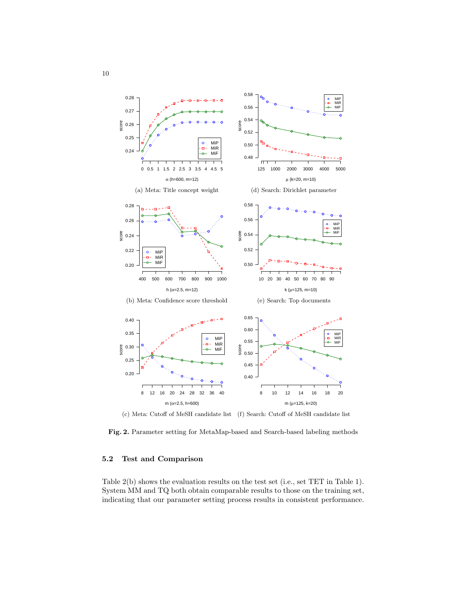

(c) Meta: Cutoff of MeSH candidate list (f) Search: Cutoff of MeSH candidate list

**Fig. 2.** Parameter setting for MetaMap-based and Search-based labeling methods

## **5.2 Test and Comparison**

Table 2(b) shows the evaluation results on the test set (i.e., set TET in Table 1). System MM and TQ both obtain comparable results to those on the training set, indicating that our parameter setting process results in consistent performance.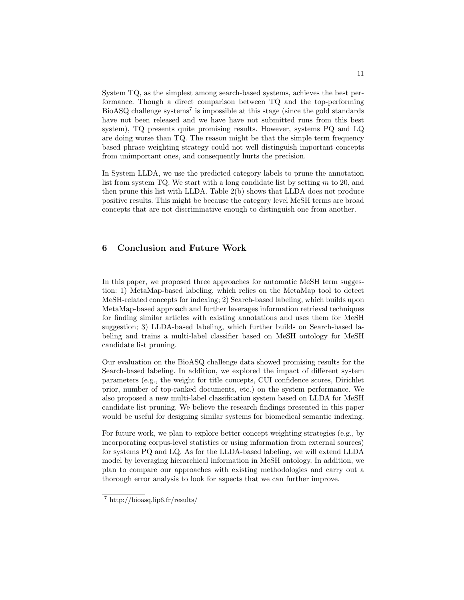System TQ, as the simplest among search-based systems, achieves the best performance. Though a direct comparison between TQ and the top-performing  $BioASQ$  challenge systems<sup>7</sup> is impossible at this stage (since the gold standards) have not been released and we have have not submitted runs from this best system), TQ presents quite promising results. However, systems PQ and LQ are doing worse than TQ. The reason might be that the simple term frequency based phrase weighting strategy could not well distinguish important concepts from unimportant ones, and consequently hurts the precision.

In System LLDA, we use the predicted category labels to prune the annotation list from system TQ. We start with a long candidate list by setting  $m$  to 20, and then prune this list with LLDA. Table 2(b) shows that LLDA does not produce positive results. This might be because the category level MeSH terms are broad concepts that are not discriminative enough to distinguish one from another.

# **6 Conclusion and Future Work**

In this paper, we proposed three approaches for automatic MeSH term suggestion: 1) MetaMap-based labeling, which relies on the MetaMap tool to detect MeSH-related concepts for indexing; 2) Search-based labeling, which builds upon MetaMap-based approach and further leverages information retrieval techniques for finding similar articles with existing annotations and uses them for MeSH suggestion; 3) LLDA-based labeling, which further builds on Search-based labeling and trains a multi-label classifier based on MeSH ontology for MeSH candidate list pruning.

Our evaluation on the BioASQ challenge data showed promising results for the Search-based labeling. In addition, we explored the impact of different system parameters (e.g., the weight for title concepts, CUI confidence scores, Dirichlet prior, number of top-ranked documents, etc.) on the system performance. We also proposed a new multi-label classification system based on LLDA for MeSH candidate list pruning. We believe the research findings presented in this paper would be useful for designing similar systems for biomedical semantic indexing.

For future work, we plan to explore better concept weighting strategies (e.g., by incorporating corpus-level statistics or using information from external sources) for systems PQ and LQ. As for the LLDA-based labeling, we will extend LLDA model by leveraging hierarchical information in MeSH ontology. In addition, we plan to compare our approaches with existing methodologies and carry out a thorough error analysis to look for aspects that we can further improve.

<sup>7</sup> http://bioasq.lip6.fr/results/